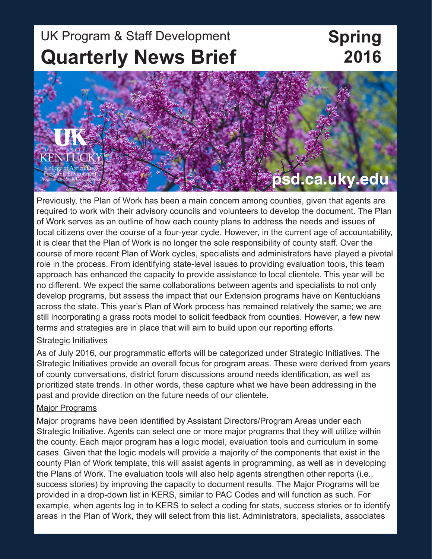## UK Program & Staff Development **Quarterly News Brief**

# **Spring 2016**

# **KENTUC** psd.ca.uky.edu

Previously, the Plan of Work has been a main concern among counties, given that agents are required to work with their advisory councils and volunteers to develop the document. The Plan of Work serves as an outline of how each county plans to address the needs and issues of local citizens over the course of a four-year cycle. However, in the current age of accountability, it is clear that the Plan of Work is no longer the sole responsibility of county staff. Over the course of more recent Plan of Work cycles, specialists and administrators have played a pivotal role in the process. From identifying state-level issues to providing evaluation tools, this team approach has enhanced the capacity to provide assistance to local clientele. This year will be no different. We expect the same collaborations between agents and specialists to not only develop programs, but assess the impact that our Extension programs have on Kentuckians across the state. This year's Plan of Work process has remained relatively the same; we are still incorporating a grass roots model to solicit feedback from counties. However, a few new terms and strategies are in place that will aim to build upon our reporting efforts.

#### Strategic Initiatives

As of July 2016, our programmatic efforts will be categorized under Strategic Initiatives. The Strategic Initiatives provide an overall focus for program areas. These were derived from years of county conversations, district forum discussions around needs identification, as well as prioritized state trends. In other words, these capture what we have been addressing in the past and provide direction on the future needs of our clientele.

#### Major Programs

Major programs have been identified by Assistant Directors/Program Areas under each Strategic Initiative. Agents can select one or more major programs that they will utilize within the county. Each major program has a logic model, evaluation tools and curriculum in some cases. Given that the logic models will provide a majority of the components that exist in the county Plan of Work template, this will assist agents in programming, as well as in developing the Plans of Work. The evaluation tools will also help agents strengthen other reports (i.e., success stories) by improving the capacity to document results. The Major Programs will be provided in a drop-down list in KERS, similar to PAC Codes and will function as such. For example, when agents log in to KERS to select a coding for stats, success stories or to identify areas in the Plan of Work, they will select from this list. Administrators, specialists, associates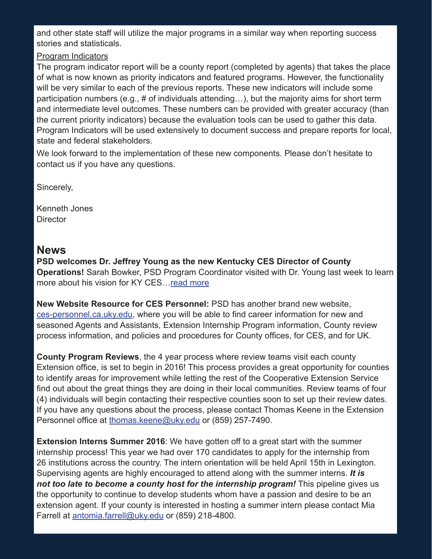and other state staff will utilize the major programs in a similar way when reporting success stories and statisticals.

#### Program Indicators

The program indicator report will be a county report (completed by agents) that takes the place of what is now known as priority indicators and featured programs. However, the functionality will be very similar to each of the previous reports. These new indicators will include some participation numbers (e.g., # of individuals attending…), but the majority aims for short term and intermediate level outcomes. These numbers can be provided with greater accuracy (than the current priority indicators) because the evaluation tools can be used to gather this data. Program Indicators will be used extensively to document success and prepare reports for local, state and federal stakeholders.

We look forward to the implementation of these new components. Please don't hesitate to contact us if you have any questions.

Sincerely,

Kenneth Jones **Director** 

#### **News**

**PSD welcomes Dr. Jeffrey Young as the new Kentucky CES Director of County Operations!** Sarah Bowker, PSD Program Coordinator visited with Dr. Young last week to learn more about his vision for KY CES…[read more](https://psd.ca.uky.edu/sites/psd.ca.uky.edu/files/spring_2016_young_interview.pdf)

**New Website Resource for CES Personnel:** PSD has another brand new website, <ces-personnel.ca.uky.edu>, where you will be able to find career information for new and seasoned Agents and Assistants, Extension Internship Program information, County review process information, and policies and procedures for County offices, for CES, and for UK.

**County Program Reviews**, the 4 year process where review teams visit each county Extension office, is set to begin in 2016! This process provides a great opportunity for counties to identify areas for improvement while letting the rest of the Cooperative Extension Service find out about the great things they are doing in their local communities. Review teams of four (4) individuals will begin contacting their respective counties soon to set up their review dates. If you have any questions about the process, please contact Thomas Keene in the Extension Personnel office at [thomas.keene@uky.edu](mailto:thomas.keene@uky.edu) or (859) 257-7490.

**Extension Interns Summer 2016**: We have gotten off to a great start with the summer internship process! This year we had over 170 candidates to apply for the internship from 26 institutions across the country. The intern orientation will be held April 15th in Lexington. Supervising agents are highly encouraged to attend along with the summer interns. *It is not too late to become a county host for the internship program!* This pipeline gives us the opportunity to continue to develop students whom have a passion and desire to be an extension agent. If your county is interested in hosting a summer intern please contact Mia Farrell at [antomia.farrell@uky.edu o](mailto:antomia.farrell@uky.edu)r (859) 218-4800.